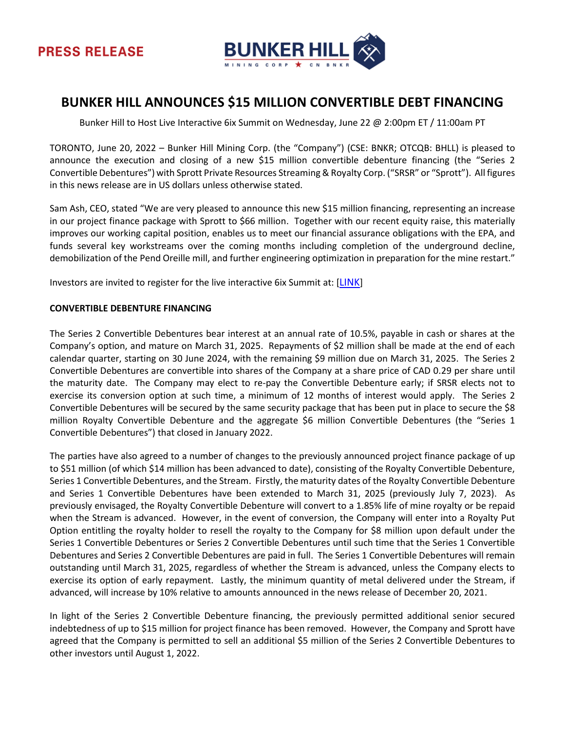

# **BUNKER HILL ANNOUNCES \$15 MILLION CONVERTIBLE DEBT FINANCING**

Bunker Hill to Host Live Interactive 6ix Summit on Wednesday, June 22 @ 2:00pm ET / 11:00am PT

TORONTO, June 20, 2022 – Bunker Hill Mining Corp. (the "Company") (CSE: BNKR; OTCQB: BHLL) is pleased to announce the execution and closing of a new \$15 million convertible debenture financing (the "Series 2 Convertible Debentures") with Sprott Private Resources Streaming & Royalty Corp. ("SRSR" or "Sprott"). All figures in this news release are in US dollars unless otherwise stated.

Sam Ash, CEO, stated "We are very pleased to announce this new \$15 million financing, representing an increase in our project finance package with Sprott to \$66 million. Together with our recent equity raise, this materially improves our working capital position, enables us to meet our financial assurance obligations with the EPA, and funds several key workstreams over the coming months including completion of the underground decline, demobilization of the Pend Oreille mill, and further engineering optimization in preparation for the mine restart."

Investors are invited to register for the live interactive 6ix Summit at: [[LINK](https://my.6ix.com/BQCIECQ6)]

#### **CONVERTIBLE DEBENTURE FINANCING**

The Series 2 Convertible Debentures bear interest at an annual rate of 10.5%, payable in cash or shares at the Company's option, and mature on March 31, 2025. Repayments of \$2 million shall be made at the end of each calendar quarter, starting on 30 June 2024, with the remaining \$9 million due on March 31, 2025. The Series 2 Convertible Debentures are convertible into shares of the Company at a share price of CAD 0.29 per share until the maturity date. The Company may elect to re-pay the Convertible Debenture early; if SRSR elects not to exercise its conversion option at such time, a minimum of 12 months of interest would apply. The Series 2 Convertible Debentures will be secured by the same security package that has been put in place to secure the \$8 million Royalty Convertible Debenture and the aggregate \$6 million Convertible Debentures (the "Series 1 Convertible Debentures") that closed in January 2022.

The parties have also agreed to a number of changes to the previously announced project finance package of up to \$51 million (of which \$14 million has been advanced to date), consisting of the Royalty Convertible Debenture, Series 1 Convertible Debentures, and the Stream. Firstly, the maturity dates of the Royalty Convertible Debenture and Series 1 Convertible Debentures have been extended to March 31, 2025 (previously July 7, 2023). As previously envisaged, the Royalty Convertible Debenture will convert to a 1.85% life of mine royalty or be repaid when the Stream is advanced. However, in the event of conversion, the Company will enter into a Royalty Put Option entitling the royalty holder to resell the royalty to the Company for \$8 million upon default under the Series 1 Convertible Debentures or Series 2 Convertible Debentures until such time that the Series 1 Convertible Debentures and Series 2 Convertible Debentures are paid in full. The Series 1 Convertible Debentures will remain outstanding until March 31, 2025, regardless of whether the Stream is advanced, unless the Company elects to exercise its option of early repayment. Lastly, the minimum quantity of metal delivered under the Stream, if advanced, will increase by 10% relative to amounts announced in the news release of December 20, 2021.

In light of the Series 2 Convertible Debenture financing, the previously permitted additional senior secured indebtedness of up to \$15 million for project finance has been removed. However, the Company and Sprott have agreed that the Company is permitted to sell an additional \$5 million of the Series 2 Convertible Debentures to other investors until August 1, 2022.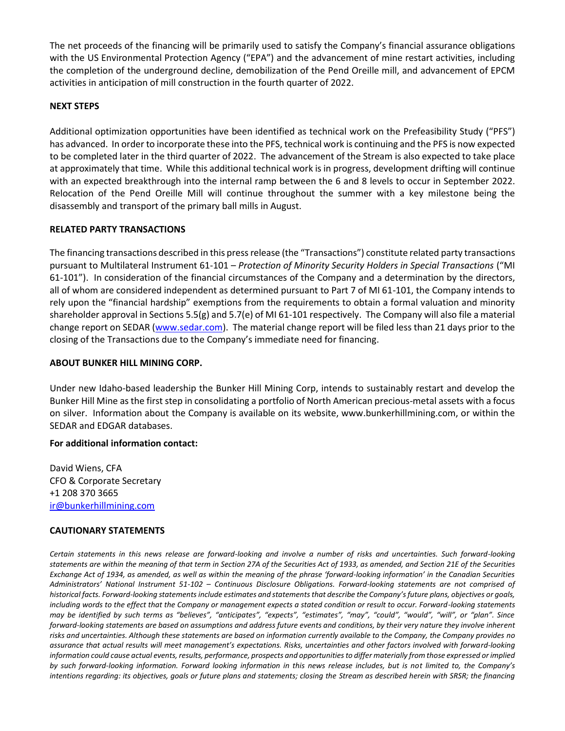The net proceeds of the financing will be primarily used to satisfy the Company's financial assurance obligations with the US Environmental Protection Agency ("EPA") and the advancement of mine restart activities, including the completion of the underground decline, demobilization of the Pend Oreille mill, and advancement of EPCM activities in anticipation of mill construction in the fourth quarter of 2022.

### **NEXT STEPS**

Additional optimization opportunities have been identified as technical work on the Prefeasibility Study ("PFS") has advanced. In order to incorporate these into the PFS, technical work is continuing and the PFS is now expected to be completed later in the third quarter of 2022. The advancement of the Stream is also expected to take place at approximately that time. While this additional technical work is in progress, development drifting will continue with an expected breakthrough into the internal ramp between the 6 and 8 levels to occur in September 2022. Relocation of the Pend Oreille Mill will continue throughout the summer with a key milestone being the disassembly and transport of the primary ball mills in August.

#### **RELATED PARTY TRANSACTIONS**

The financing transactions described in this press release (the "Transactions") constitute related party transactions pursuant to Multilateral Instrument 61-101 – *Protection of Minority Security Holders in Special Transactions* ("MI 61-101"). In consideration of the financial circumstances of the Company and a determination by the directors, all of whom are considered independent as determined pursuant to Part 7 of MI 61-101, the Company intends to rely upon the "financial hardship" exemptions from the requirements to obtain a formal valuation and minority shareholder approval in Sections 5.5(g) and 5.7(e) of MI 61-101 respectively. The Company will also file a material change report on SEDAR [\(www.sedar.com\)](http://www.sedar.com/). The material change report will be filed less than 21 days prior to the closing of the Transactions due to the Company's immediate need for financing.

## **ABOUT BUNKER HILL MINING CORP.**

Under new Idaho-based leadership the Bunker Hill Mining Corp, intends to sustainably restart and develop the Bunker Hill Mine as the first step in consolidating a portfolio of North American precious-metal assets with a focus on silver. Information about the Company is available on its website, www.bunkerhillmining.com, or within the SEDAR and EDGAR databases.

#### **For additional information contact:**

David Wiens, CFA CFO & Corporate Secretary +1 208 370 3665 [ir@bunkerhillmining.com](mailto:ir@bunkerhillmining.com)

#### **CAUTIONARY STATEMENTS**

*Certain statements in this news release are forward-looking and involve a number of risks and uncertainties. Such forward-looking statements are within the meaning of that term in Section 27A of the Securities Act of 1933, as amended, and Section 21E of the Securities Exchange Act of 1934, as amended, as well as within the meaning of the phrase 'forward-looking information' in the Canadian Securities Administrators' National Instrument 51-102 – Continuous Disclosure Obligations. Forward-looking statements are not comprised of historical facts. Forward-looking statementsinclude estimates and statements that describe the Company's future plans, objectives or goals, including words to the effect that the Company or management expects a stated condition or result to occur. Forward-looking statements may be identified by such terms as "believes", "anticipates", "expects", "estimates", "may", "could", "would", "will", or "plan". Since forward-looking statements are based on assumptions and address future events and conditions, by their very nature they involve inherent risks and uncertainties. Although these statements are based on information currently available to the Company, the Company provides no assurance that actual results will meet management's expectations. Risks, uncertainties and other factors involved with forward-looking information could cause actual events, results, performance, prospects and opportunities to differ materially from those expressed or implied by such forward-looking information. Forward looking information in this news release includes, but is not limited to, the Company's intentions regarding: its objectives, goals or future plans and statements; closing the Stream as described herein with SRSR; the financing*